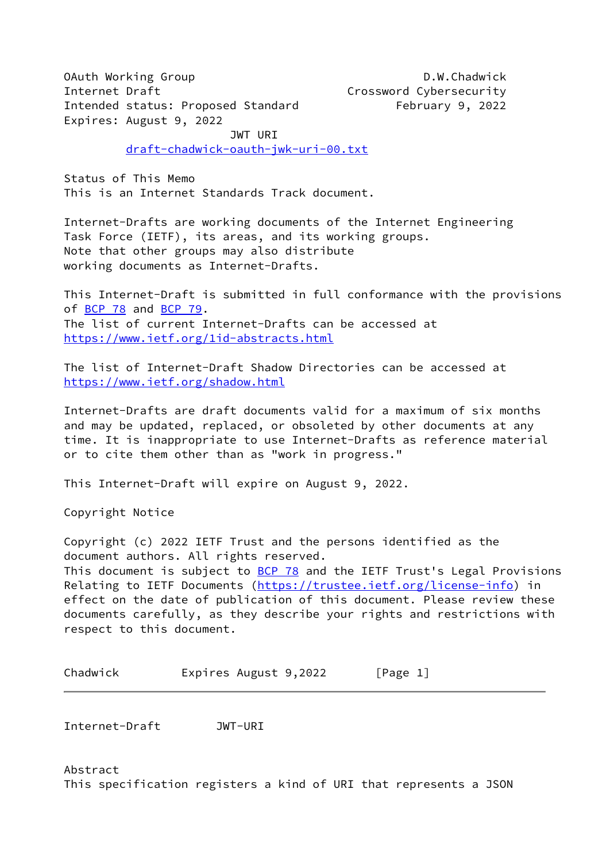OAuth Working Group **D.W.Chadwick** Internet Draft Crossword Cybersecurity Intended status: Proposed Standard February 9, 2022 Expires: August 9, 2022

JWT URI

[draft-chadwick-oauth-jwk-uri-00.txt](https://datatracker.ietf.org/doc/pdf/draft-chadwick-oauth-jwk-uri-00.txt)

Status of This Memo This is an Internet Standards Track document.

Internet-Drafts are working documents of the Internet Engineering Task Force (IETF), its areas, and its working groups. Note that other groups may also distribute working documents as Internet-Drafts.

This Internet-Draft is submitted in full conformance with the provisions of BCP  $78$  and BCP  $79$ . The list of current Internet-Drafts can be accessed at <https://www.ietf.org/1id-abstracts.html>

The list of Internet-Draft Shadow Directories can be accessed at <https://www.ietf.org/shadow.html>

Internet-Drafts are draft documents valid for a maximum of six months and may be updated, replaced, or obsoleted by other documents at any time. It is inappropriate to use Internet-Drafts as reference material or to cite them other than as "work in progress."

This Internet-Draft will expire on August 9, 2022.

Copyright Notice

Copyright (c) 2022 IETF Trust and the persons identified as the document authors. All rights reserved. This document is subject to [BCP 78](https://datatracker.ietf.org/doc/pdf/bcp78) and the IETF Trust's Legal Provisions Relating to IETF Documents [\(https://trustee.ietf.org/license-info](https://trustee.ietf.org/license-info)) in effect on the date of publication of this document. Please review these documents carefully, as they describe your rights and restrictions with respect to this document.

Chadwick Expires August 9,2022 [Page 1]

<span id="page-0-0"></span>Internet-Draft JWT-URI

Abstract This specification registers a kind of URI that represents a JSON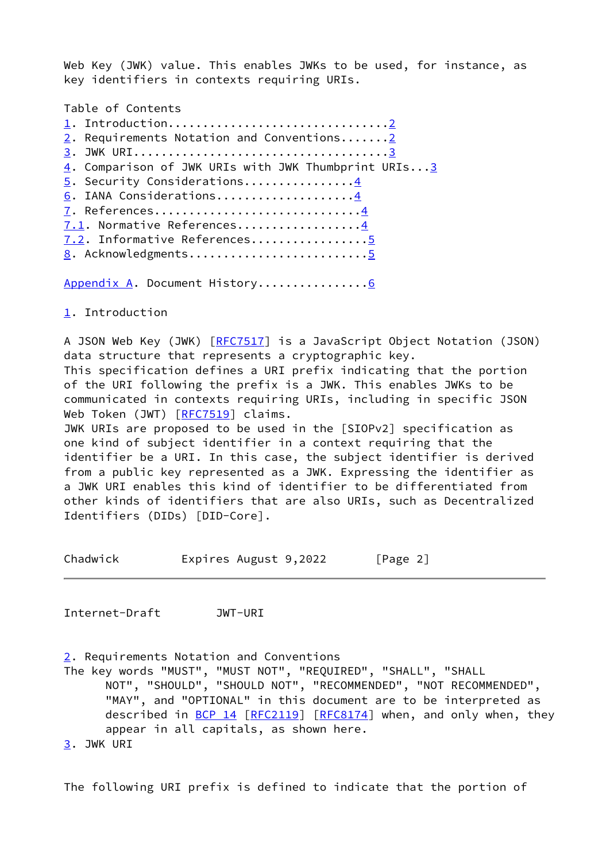Web Key (JWK) value. This enables JWKs to be used, for instance, as key identifiers in contexts requiring URIs.

Table of Contents

| 2. Requirements Notation and Conventions2           |
|-----------------------------------------------------|
|                                                     |
| 4. Comparison of JWK URIs with JWK Thumbprint URIs3 |
| 5. Security Considerations4                         |
| 6. IANA Considerations4                             |
| 7. References4                                      |
| 7.1. Normative References4                          |
| 7.2. Informative References5                        |
| 8. Acknowledgments5                                 |
|                                                     |

[Appendix A.](#page-4-2) Document History...............[.6](#page-4-3)

<span id="page-1-0"></span>[1](#page-1-0). Introduction

A JSON Web Key (JWK) [[RFC7517](https://datatracker.ietf.org/doc/pdf/rfc7517)] is a JavaScript Object Notation (JSON) data structure that represents a cryptographic key. This specification defines a URI prefix indicating that the portion of the URI following the prefix is a JWK. This enables JWKs to be communicated in contexts requiring URIs, including in specific JSON Web Token (JWT) [\[RFC7519](https://datatracker.ietf.org/doc/pdf/rfc7519)] claims. JWK URIs are proposed to be used in the [SIOPv2] specification as one kind of subject identifier in a context requiring that the identifier be a URI. In this case, the subject identifier is derived from a public key represented as a JWK. Expressing the identifier as a JWK URI enables this kind of identifier to be differentiated from other kinds of identifiers that are also URIs, such as Decentralized Identifiers (DIDs) [DID-Core].

Chadwick Expires August 9,2022 [Page 2]

<span id="page-1-3"></span>Internet-Draft JWT-URI

<span id="page-1-1"></span>[2](#page-1-1). Requirements Notation and Conventions

The key words "MUST", "MUST NOT", "REQUIRED", "SHALL", "SHALL NOT", "SHOULD", "SHOULD NOT", "RECOMMENDED", "NOT RECOMMENDED", "MAY", and "OPTIONAL" in this document are to be interpreted as described in [BCP 14](https://datatracker.ietf.org/doc/pdf/bcp14) [\[RFC2119](https://datatracker.ietf.org/doc/pdf/rfc2119)] [\[RFC8174](https://datatracker.ietf.org/doc/pdf/rfc8174)] when, and only when, they appear in all capitals, as shown here. [3](#page-1-2). JWK URI

<span id="page-1-2"></span>The following URI prefix is defined to indicate that the portion of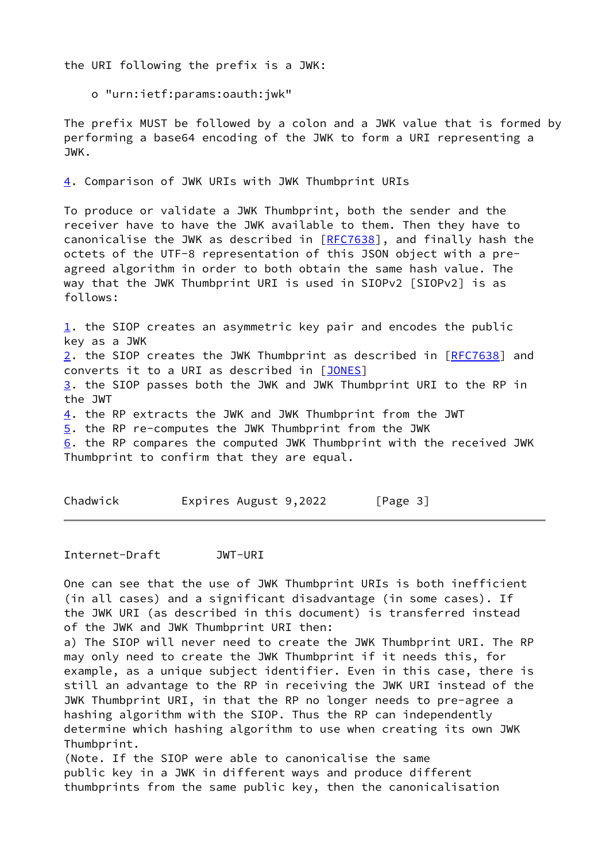the URI following the prefix is a JWK:

o "urn:ietf:params:oauth:jwk"

The prefix MUST be followed by a colon and a JWK value that is formed by performing a base64 encoding of the JWK to form a URI representing a JWK.

<span id="page-2-0"></span>[4](#page-2-0). Comparison of JWK URIs with JWK Thumbprint URIs

To produce or validate a JWK Thumbprint, both the sender and the receiver have to have the JWK available to them. Then they have to canonicalise the JWK as described in [[RFC7638](https://datatracker.ietf.org/doc/pdf/rfc7638)], and finally hash the octets of the UTF-8 representation of this JSON object with a preagreed algorithm in order to both obtain the same hash value. The way that the JWK Thumbprint URI is used in SIOPv2 [SIOPv2] is as follows:

[1](#page-1-0). the SIOP creates an asymmetric key pair and encodes the public key as a JWK [2](#page-1-1). the SIOP creates the JWK Thumbprint as described in [\[RFC7638](https://datatracker.ietf.org/doc/pdf/rfc7638)] and converts it to a URI as described in [[JONES\]](#page-4-4) [3](#page-1-2). the SIOP passes both the JWK and JWK Thumbprint URI to the RP in the JWT [4](#page-2-0). the RP extracts the JWK and JWK Thumbprint from the JWT [5](#page-2-1). the RP re-computes the JWK Thumbprint from the JWK  $6.$  $6.$  the RP compares the computed JWK Thumbprint with the received JWK Thumbprint to confirm that they are equal.

<span id="page-2-3"></span><span id="page-2-1"></span>Chadwick Expires August 9,2022 [Page 3]

<span id="page-2-2"></span>Internet-Draft JWT-URI

One can see that the use of JWK Thumbprint URIs is both inefficient (in all cases) and a significant disadvantage (in some cases). If the JWK URI (as described in this document) is transferred instead of the JWK and JWK Thumbprint URI then:

a) The SIOP will never need to create the JWK Thumbprint URI. The RP may only need to create the JWK Thumbprint if it needs this, for example, as a unique subject identifier. Even in this case, there is still an advantage to the RP in receiving the JWK URI instead of the JWK Thumbprint URI, in that the RP no longer needs to pre-agree a hashing algorithm with the SIOP. Thus the RP can independently determine which hashing algorithm to use when creating its own JWK Thumbprint.

(Note. If the SIOP were able to canonicalise the same public key in a JWK in different ways and produce different thumbprints from the same public key, then the canonicalisation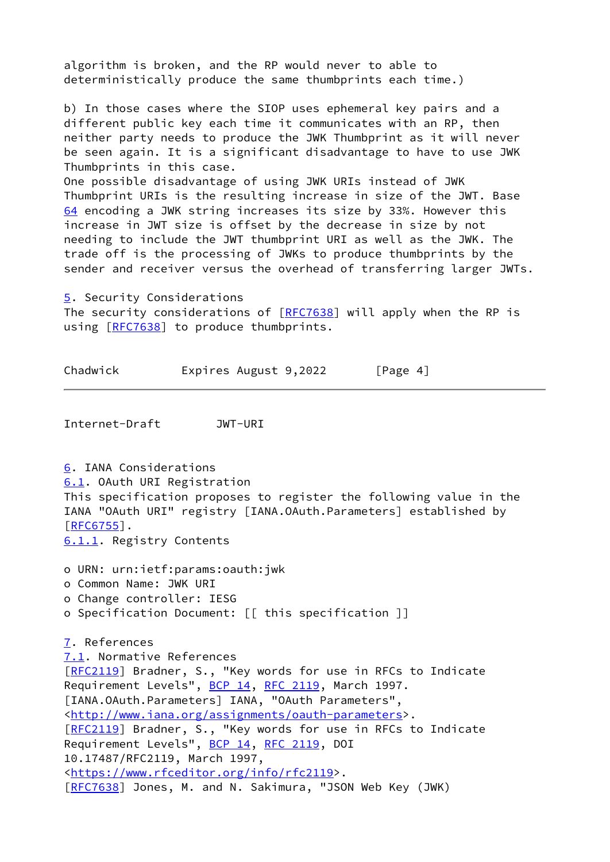algorithm is broken, and the RP would never to able to deterministically produce the same thumbprints each time.)

b) In those cases where the SIOP uses ephemeral key pairs and a different public key each time it communicates with an RP, then neither party needs to produce the JWK Thumbprint as it will never be seen again. It is a significant disadvantage to have to use JWK Thumbprints in this case.

<span id="page-3-3"></span>One possible disadvantage of using JWK URIs instead of JWK Thumbprint URIs is the resulting increase in size of the JWT. Base [64](#page-3-3) encoding a JWK string increases its size by 33%. However this increase in JWT size is offset by the decrease in size by not needing to include the JWT thumbprint URI as well as the JWK. The trade off is the processing of JWKs to produce thumbprints by the sender and receiver versus the overhead of transferring larger JWTs.

[5](#page-2-1). Security Considerations

The security considerations of [\[RFC7638](https://datatracker.ietf.org/doc/pdf/rfc7638)] will apply when the RP is using [[RFC7638\]](https://datatracker.ietf.org/doc/pdf/rfc7638) to produce thumbprints.

Chadwick Expires August 9,2022 [Page 4]

<span id="page-3-2"></span>Internet-Draft JWT-URI

<span id="page-3-5"></span><span id="page-3-4"></span><span id="page-3-1"></span><span id="page-3-0"></span>[6](#page-2-3). IANA Considerations [6.1](#page-3-4). OAuth URI Registration This specification proposes to register the following value in the IANA "OAuth URI" registry [IANA.OAuth.Parameters] established by [\[RFC6755](https://datatracker.ietf.org/doc/pdf/rfc6755)]. [6.1.1](#page-3-5). Registry Contents o URN: urn:ietf:params:oauth:jwk o Common Name: JWK URI o Change controller: IESG o Specification Document: [[ this specification ]] [7](#page-3-0). References [7.1](#page-3-1). Normative References [\[RFC2119](https://datatracker.ietf.org/doc/pdf/rfc2119)] Bradner, S., "Key words for use in RFCs to Indicate Requirement Levels", [BCP 14](https://datatracker.ietf.org/doc/pdf/bcp14), [RFC 2119](https://datatracker.ietf.org/doc/pdf/rfc2119), March 1997. [IANA.OAuth.Parameters] IANA, "OAuth Parameters", [<http://www.iana.org/assignments/oauth-parameters](http://www.iana.org/assignments/oauth-parameters)>. [\[RFC2119](https://datatracker.ietf.org/doc/pdf/rfc2119)] Bradner, S., "Key words for use in RFCs to Indicate Requirement Levels", [BCP 14](https://datatracker.ietf.org/doc/pdf/bcp14), [RFC 2119](https://datatracker.ietf.org/doc/pdf/rfc2119), DOI 10.17487/RFC2119, March 1997, [<https://www.rfceditor.org/info/rfc2119](https://www.rfceditor.org/info/rfc2119)>. [\[RFC7638](https://datatracker.ietf.org/doc/pdf/rfc7638)] Jones, M. and N. Sakimura, "JSON Web Key (JWK)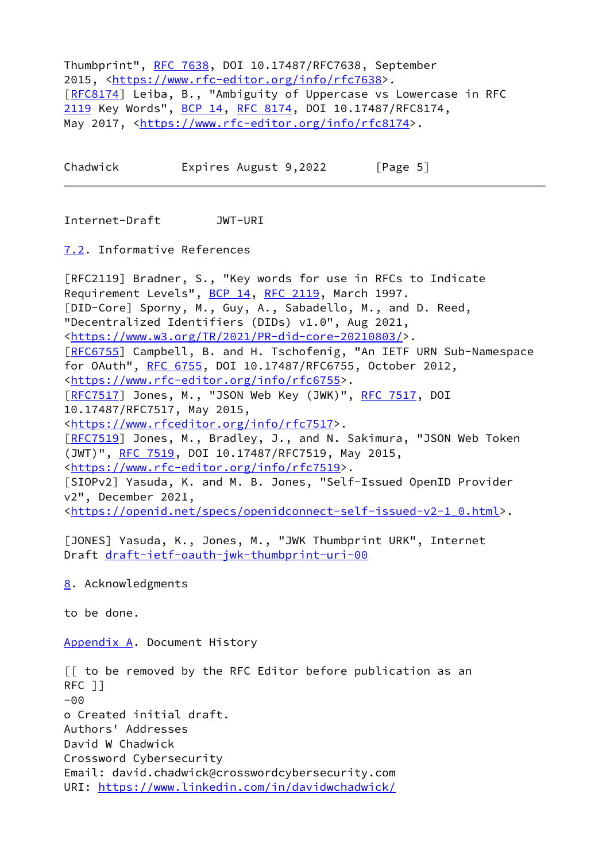<span id="page-4-5"></span>Thumbprint", [RFC 7638](https://datatracker.ietf.org/doc/pdf/rfc7638), DOI 10.17487/RFC7638, September 2015, <[https://www.rfc-editor.org/info/rfc7638>](https://www.rfc-editor.org/info/rfc7638). [\[RFC8174](https://datatracker.ietf.org/doc/pdf/rfc8174)] Leiba, B., "Ambiguity of Uppercase vs Lowercase in RFC [2119](#page-4-5) Key Words", [BCP 14](https://datatracker.ietf.org/doc/pdf/bcp14), [RFC 8174](https://datatracker.ietf.org/doc/pdf/rfc8174), DOI 10.17487/RFC8174, May 2017, [<https://www.rfc-editor.org/info/rfc8174](https://www.rfc-editor.org/info/rfc8174)>.

Chadwick Expires August 9,2022 [Page 5]

<span id="page-4-3"></span>Internet-Draft JWT-URI

<span id="page-4-0"></span>[7.2](#page-4-0). Informative References

[RFC2119] Bradner, S., "Key words for use in RFCs to Indicate Requirement Levels", [BCP 14](https://datatracker.ietf.org/doc/pdf/bcp14), [RFC 2119](https://datatracker.ietf.org/doc/pdf/rfc2119), March 1997. [DID-Core] Sporny, M., Guy, A., Sabadello, M., and D. Reed, "Decentralized Identifiers (DIDs) v1.0", Aug 2021, [<https://www.w3.org/TR/2021/PR-did-core-20210803/](https://www.w3.org/TR/2021/PR-did-core-20210803/)>. [\[RFC6755](https://datatracker.ietf.org/doc/pdf/rfc6755)] Campbell, B. and H. Tschofenig, "An IETF URN Sub-Namespace for OAuth", [RFC 6755](https://datatracker.ietf.org/doc/pdf/rfc6755), DOI 10.17487/RFC6755, October 2012, [<https://www.rfc-editor.org/info/rfc6755](https://www.rfc-editor.org/info/rfc6755)>. [\[RFC7517](https://datatracker.ietf.org/doc/pdf/rfc7517)] Jones, M., "JSON Web Key (JWK)", [RFC 7517](https://datatracker.ietf.org/doc/pdf/rfc7517), DOI 10.17487/RFC7517, May 2015, [<https://www.rfceditor.org/info/rfc7517](https://www.rfceditor.org/info/rfc7517)>. [\[RFC7519](https://datatracker.ietf.org/doc/pdf/rfc7519)] Jones, M., Bradley, J., and N. Sakimura, "JSON Web Token (JWT)", [RFC 7519](https://datatracker.ietf.org/doc/pdf/rfc7519), DOI 10.17487/RFC7519, May 2015, [<https://www.rfc-editor.org/info/rfc7519](https://www.rfc-editor.org/info/rfc7519)>. [SIOPv2] Yasuda, K. and M. B. Jones, "Self-Issued OpenID Provider v2", December 2021, [<https://openid.net/specs/openidconnect-self-issued-v2-1\\_0.html](https://openid.net/specs/openidconnect-self-issued-v2-1_0.html)>.

<span id="page-4-4"></span>[JONES] Yasuda, K., Jones, M., "JWK Thumbprint URK", Internet Draft [draft-ietf-oauth-jwk-thumbprint-uri-00](https://datatracker.ietf.org/doc/pdf/draft-ietf-oauth-jwk-thumbprint-uri-00)

<span id="page-4-1"></span>[8](#page-4-1). Acknowledgments

to be done.

<span id="page-4-2"></span>[Appendix A.](#page-4-2) Document History

[[ to be removed by the RFC Editor before publication as an RFC ]] -00 o Created initial draft. Authors' Addresses David W Chadwick Crossword Cybersecurity Email: david.chadwick@crosswordcybersecurity.com URI:<https://www.linkedin.com/in/davidwchadwick/>